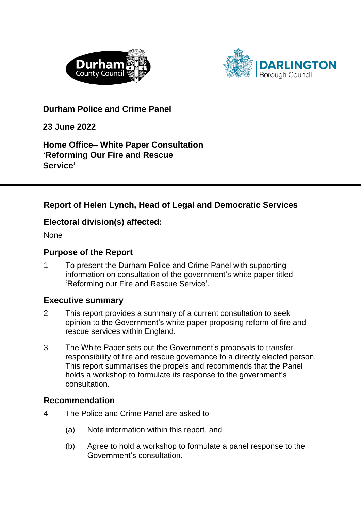



**Durham Police and Crime Panel** 

**23 June 2022**

**Home Office– White Paper Consultation 'Reforming Our Fire and Rescue Service'**

## **Report of Helen Lynch, Head of Legal and Democratic Services**

### **Electoral division(s) affected:**

None

### **Purpose of the Report**

1 To present the Durham Police and Crime Panel with supporting information on consultation of the government's white paper titled 'Reforming our Fire and Rescue Service'.

### **Executive summary**

- 2 This report provides a summary of a current consultation to seek opinion to the Government's white paper proposing reform of fire and rescue services within England.
- 3 The White Paper sets out the Government's proposals to transfer responsibility of fire and rescue governance to a directly elected person. This report summarises the propels and recommends that the Panel holds a workshop to formulate its response to the government's consultation.

### **Recommendation**

- 4 The Police and Crime Panel are asked to
	- (a) Note information within this report, and
	- (b) Agree to hold a workshop to formulate a panel response to the Government's consultation.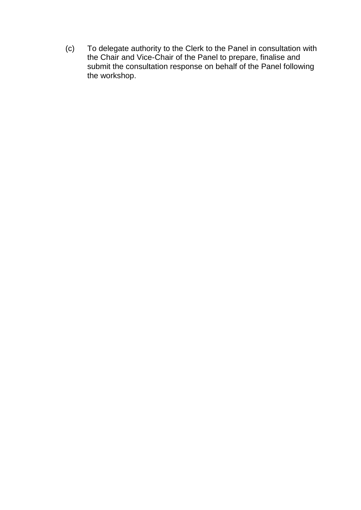(c) To delegate authority to the Clerk to the Panel in consultation with the Chair and Vice-Chair of the Panel to prepare, finalise and submit the consultation response on behalf of the Panel following the workshop.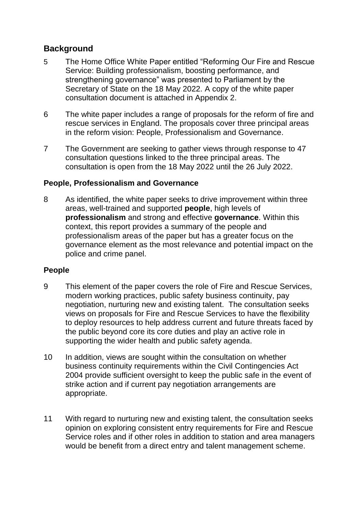## **Background**

- 5 The Home Office White Paper entitled "Reforming Our Fire and Rescue Service: Building professionalism, boosting performance, and strengthening governance" was presented to Parliament by the Secretary of State on the 18 May 2022. A copy of the white paper consultation document is attached in Appendix 2.
- 6 The white paper includes a range of proposals for the reform of fire and rescue services in England. The proposals cover three principal areas in the reform vision: People, Professionalism and Governance.
- 7 The Government are seeking to gather views through response to 47 consultation questions linked to the three principal areas. The consultation is open from the 18 May 2022 until the 26 July 2022.

### **People, Professionalism and Governance**

8 As identified, the white paper seeks to drive improvement within three areas, well-trained and supported **people**, high levels of **professionalism** and strong and effective **governance**. Within this context, this report provides a summary of the people and professionalism areas of the paper but has a greater focus on the governance element as the most relevance and potential impact on the police and crime panel.

## **People**

- 9 This element of the paper covers the role of Fire and Rescue Services, modern working practices, public safety business continuity, pay negotiation, nurturing new and existing talent. The consultation seeks views on proposals for Fire and Rescue Services to have the flexibility to deploy resources to help address current and future threats faced by the public beyond core its core duties and play an active role in supporting the wider health and public safety agenda.
- 10 In addition, views are sought within the consultation on whether business continuity requirements within the Civil Contingencies Act 2004 provide sufficient oversight to keep the public safe in the event of strike action and if current pay negotiation arrangements are appropriate.
- 11 With regard to nurturing new and existing talent, the consultation seeks opinion on exploring consistent entry requirements for Fire and Rescue Service roles and if other roles in addition to station and area managers would be benefit from a direct entry and talent management scheme.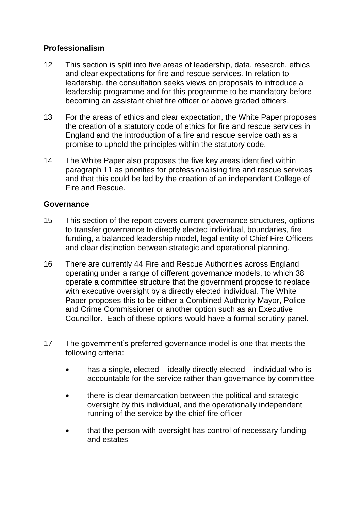### **Professionalism**

- 12 This section is split into five areas of leadership, data, research, ethics and clear expectations for fire and rescue services. In relation to leadership, the consultation seeks views on proposals to introduce a leadership programme and for this programme to be mandatory before becoming an assistant chief fire officer or above graded officers.
- 13 For the areas of ethics and clear expectation, the White Paper proposes the creation of a statutory code of ethics for fire and rescue services in England and the introduction of a fire and rescue service oath as a promise to uphold the principles within the statutory code.
- 14 The White Paper also proposes the five key areas identified within paragraph 11 as priorities for professionalising fire and rescue services and that this could be led by the creation of an independent College of Fire and Rescue.

#### **Governance**

- 15 This section of the report covers current governance structures, options to transfer governance to directly elected individual, boundaries, fire funding, a balanced leadership model, legal entity of Chief Fire Officers and clear distinction between strategic and operational planning.
- 16 There are currently 44 Fire and Rescue Authorities across England operating under a range of different governance models, to which 38 operate a committee structure that the government propose to replace with executive oversight by a directly elected individual. The White Paper proposes this to be either a Combined Authority Mayor, Police and Crime Commissioner or another option such as an Executive Councillor. Each of these options would have a formal scrutiny panel.
- 17 The government's preferred governance model is one that meets the following criteria:
	- has a single, elected ideally directly elected individual who is accountable for the service rather than governance by committee
	- there is clear demarcation between the political and strategic oversight by this individual, and the operationally independent running of the service by the chief fire officer
	- that the person with oversight has control of necessary funding and estates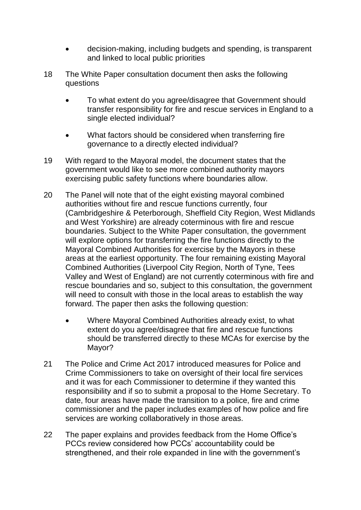- decision-making, including budgets and spending, is transparent and linked to local public priorities
- 18 The White Paper consultation document then asks the following questions
	- To what extent do you agree/disagree that Government should transfer responsibility for fire and rescue services in England to a single elected individual?
	- What factors should be considered when transferring fire governance to a directly elected individual?
- 19 With regard to the Mayoral model, the document states that the government would like to see more combined authority mayors exercising public safety functions where boundaries allow.
- 20 The Panel will note that of the eight existing mayoral combined authorities without fire and rescue functions currently, four (Cambridgeshire & Peterborough, Sheffield City Region, West Midlands and West Yorkshire) are already coterminous with fire and rescue boundaries. Subject to the White Paper consultation, the government will explore options for transferring the fire functions directly to the Mayoral Combined Authorities for exercise by the Mayors in these areas at the earliest opportunity. The four remaining existing Mayoral Combined Authorities (Liverpool City Region, North of Tyne, Tees Valley and West of England) are not currently coterminous with fire and rescue boundaries and so, subject to this consultation, the government will need to consult with those in the local areas to establish the way forward. The paper then asks the following question:
	- Where Mayoral Combined Authorities already exist, to what extent do you agree/disagree that fire and rescue functions should be transferred directly to these MCAs for exercise by the Mayor?
- 21 The Police and Crime Act 2017 introduced measures for Police and Crime Commissioners to take on oversight of their local fire services and it was for each Commissioner to determine if they wanted this responsibility and if so to submit a proposal to the Home Secretary. To date, four areas have made the transition to a police, fire and crime commissioner and the paper includes examples of how police and fire services are working collaboratively in those areas.
- 22 The paper explains and provides feedback from the Home Office's PCCs review considered how PCCs' accountability could be strengthened, and their role expanded in line with the government's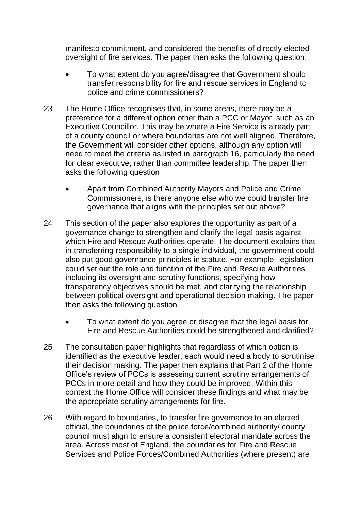manifesto commitment, and considered the benefits of directly elected oversight of fire services. The paper then asks the following question:

- To what extent do you agree/disagree that Government should transfer responsibility for fire and rescue services in England to police and crime commissioners?
- 23 The Home Office recognises that, in some areas, there may be a preference for a different option other than a PCC or Mayor, such as an Executive Councillor. This may be where a Fire Service is already part of a county council or where boundaries are not well aligned. Therefore, the Government will consider other options, although any option will need to meet the criteria as listed in paragraph 16, particularly the need for clear executive, rather than committee leadership. The paper then asks the following question
	- Apart from Combined Authority Mayors and Police and Crime Commissioners, is there anyone else who we could transfer fire governance that aligns with the principles set out above?
- 24 This section of the paper also explores the opportunity as part of a governance change to strengthen and clarify the legal basis against which Fire and Rescue Authorities operate. The document explains that in transferring responsibility to a single individual, the government could also put good governance principles in statute. For example, legislation could set out the role and function of the Fire and Rescue Authorities including its oversight and scrutiny functions, specifying how transparency objectives should be met, and clarifying the relationship between political oversight and operational decision making. The paper then asks the following question
	- To what extent do you agree or disagree that the legal basis for Fire and Rescue Authorities could be strengthened and clarified?
- 25 The consultation paper highlights that regardless of which option is identified as the executive leader, each would need a body to scrutinise their decision making. The paper then explains that Part 2 of the Home Office's review of PCCs is assessing current scrutiny arrangements of PCCs in more detail and how they could be improved. Within this context the Home Office will consider these findings and what may be the appropriate scrutiny arrangements for fire.
- 26 With regard to boundaries, to transfer fire governance to an elected official, the boundaries of the police force/combined authority/ county council must align to ensure a consistent electoral mandate across the area. Across most of England, the boundaries for Fire and Rescue Services and Police Forces/Combined Authorities (where present) are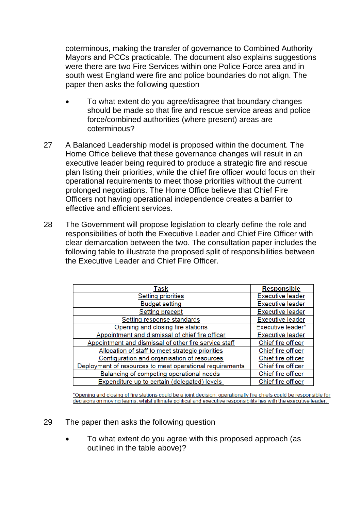coterminous, making the transfer of governance to Combined Authority Mayors and PCCs practicable. The document also explains suggestions were there are two Fire Services within one Police Force area and in south west England were fire and police boundaries do not align. The paper then asks the following question

- To what extent do you agree/disagree that boundary changes should be made so that fire and rescue service areas and police force/combined authorities (where present) areas are coterminous?
- 27 A Balanced Leadership model is proposed within the document. The Home Office believe that these governance changes will result in an executive leader being required to produce a strategic fire and rescue plan listing their priorities, while the chief fire officer would focus on their operational requirements to meet those priorities without the current prolonged negotiations. The Home Office believe that Chief Fire Officers not having operational independence creates a barrier to effective and efficient services.
- 28 The Government will propose legislation to clearly define the role and responsibilities of both the Executive Leader and Chief Fire Officer with clear demarcation between the two. The consultation paper includes the following table to illustrate the proposed split of responsibilities between the Executive Leader and Chief Fire Officer.

| Task                                                     | <b>Responsible</b>      |
|----------------------------------------------------------|-------------------------|
| Setting priorities                                       | <b>Executive leader</b> |
| <b>Budget setting</b>                                    | <b>Executive leader</b> |
| <b>Setting precept</b>                                   | <b>Executive leader</b> |
| Setting response standards                               | <b>Executive leader</b> |
| Opening and closing fire stations                        | Executive leader*       |
| Appointment and dismissal of chief fire officer          | <b>Executive leader</b> |
| Appointment and dismissal of other fire service staff    | Chief fire officer      |
| Allocation of staff to meet strategic priorities         | Chief fire officer      |
| Configuration and organisation of resources              | Chief fire officer      |
| Deployment of resources to meet operational requirements | Chief fire officer      |
| Balancing of competing operational needs                 | Chief fire officer      |
| Expenditure up to certain (delegated) levels             | Chief fire officer      |

\*Opening and closing of fire stations could be a joint decision; operationally fire chiefs could be responsible for decisions on moving teams, whilst ultimate political and executive responsibility lies with the executive leader.

- 29 The paper then asks the following question
	- To what extent do you agree with this proposed approach (as outlined in the table above)?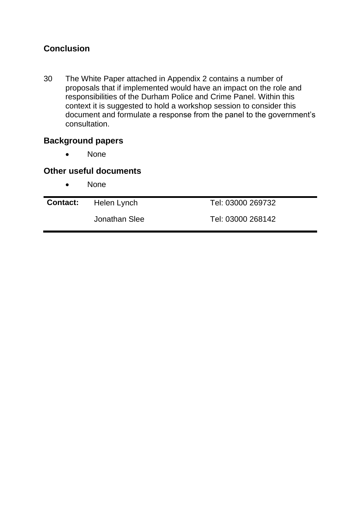# **Conclusion**

30 The White Paper attached in Appendix 2 contains a number of proposals that if implemented would have an impact on the role and responsibilities of the Durham Police and Crime Panel. Within this context it is suggested to hold a workshop session to consider this document and formulate a response from the panel to the government's consultation.

### **Background papers**

• None

#### **Other useful documents**

• None

| <b>Contact:</b> Helen Lynch | Tel: 03000 269732 |
|-----------------------------|-------------------|
| Jonathan Slee               | Tel: 03000 268142 |